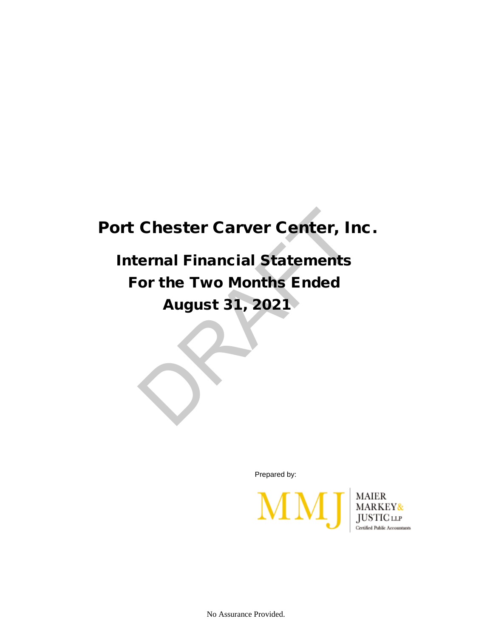## Port Chester Carver Center, Inc.

 Internal Financial Statements For the Two Months Ended August 31, 2021 Chester Carver Center, Ir<br>
ernal Financial Statements<br>
or the Two Months Ended<br>
August 31, 2021

Prepared by:



No Assurance Provided.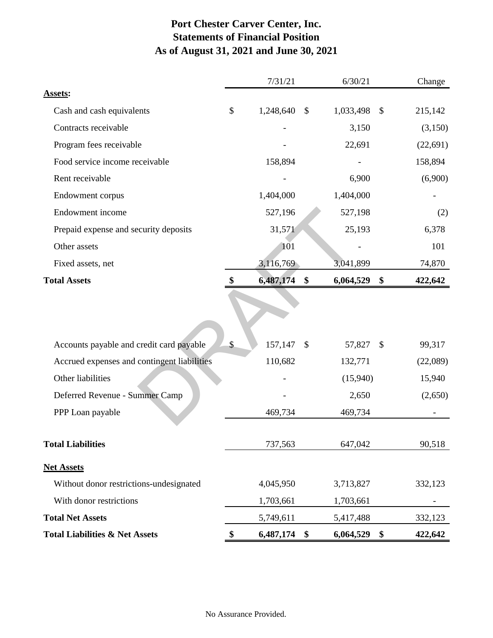## **Port Chester Carver Center, Inc. Statements of Financial Position As of August 31, 2021 and June 30, 2021**

|                                             |         | 7/31/21   | 6/30/21         |                           | Change    |
|---------------------------------------------|---------|-----------|-----------------|---------------------------|-----------|
| Assets:                                     |         |           |                 |                           |           |
| Cash and cash equivalents                   | \$      | 1,248,640 | \$<br>1,033,498 | $\mathcal{S}$             | 215,142   |
| Contracts receivable                        |         |           | 3,150           |                           | (3,150)   |
| Program fees receivable                     |         |           | 22,691          |                           | (22, 691) |
| Food service income receivable              |         | 158,894   |                 |                           | 158,894   |
| Rent receivable                             |         |           | 6,900           |                           | (6,900)   |
| Endowment corpus                            |         | 1,404,000 | 1,404,000       |                           |           |
| Endowment income                            |         | 527,196   | 527,198         |                           | (2)       |
| Prepaid expense and security deposits       |         | 31,571    | 25,193          |                           | 6,378     |
| Other assets                                |         | 101       |                 |                           | 101       |
| Fixed assets, net                           |         | 3,116,769 | 3,041,899       |                           | 74,870    |
| <b>Total Assets</b>                         |         | 6,487,174 | \$<br>6,064,529 | \$                        | 422,642   |
|                                             |         |           |                 |                           |           |
| Accounts payable and credit card payable    | \$      | 157,147   | \$<br>57,827    | $\boldsymbol{\mathsf{S}}$ | 99,317    |
| Accrued expenses and contingent liabilities | 110,682 |           | 132,771         |                           | (22,089)  |
| Other liabilities                           |         |           | (15,940)        |                           | 15,940    |
| Deferred Revenue - Summer Camp              |         |           | 2,650           |                           | (2,650)   |
| PPP Loan payable                            |         | 469,734   | 469,734         |                           |           |
| <b>Total Liabilities</b>                    |         | 737,563   | 647,042         |                           | 90,518    |
| <b>Net Assets</b>                           |         |           |                 |                           |           |
| Without donor restrictions-undesignated     |         | 4,045,950 | 3,713,827       |                           | 332,123   |
| With donor restrictions                     |         | 1,703,661 | 1,703,661       |                           |           |
| <b>Total Net Assets</b>                     |         | 5,749,611 | 5,417,488       |                           | 332,123   |
| <b>Total Liabilities &amp; Net Assets</b>   | \$      | 6,487,174 | \$<br>6,064,529 | \$                        | 422,642   |